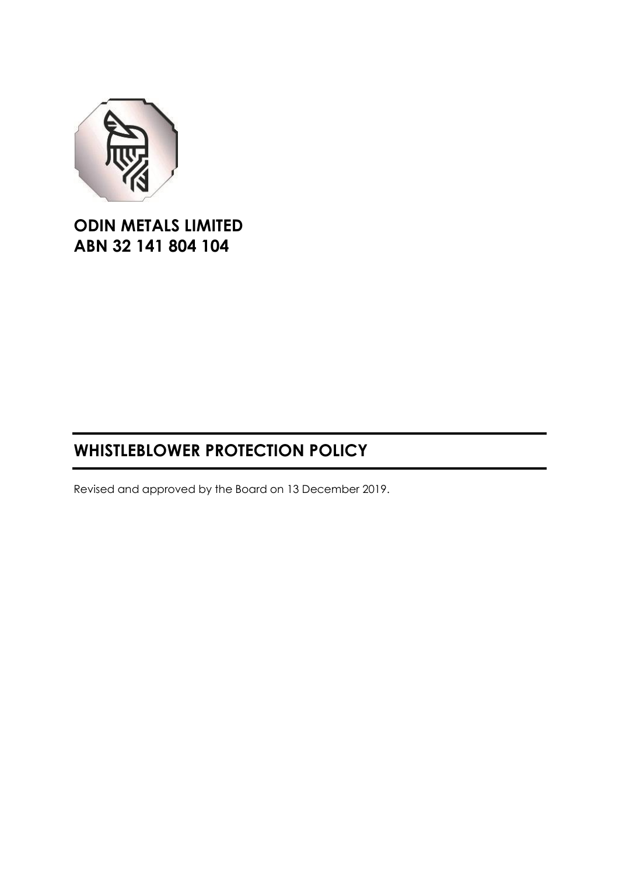

**ODIN METALS LIMITED ABN 32 141 804 104**

# **WHISTLEBLOWER PROTECTION POLICY**

Revised and approved by the Board on 13 December 2019.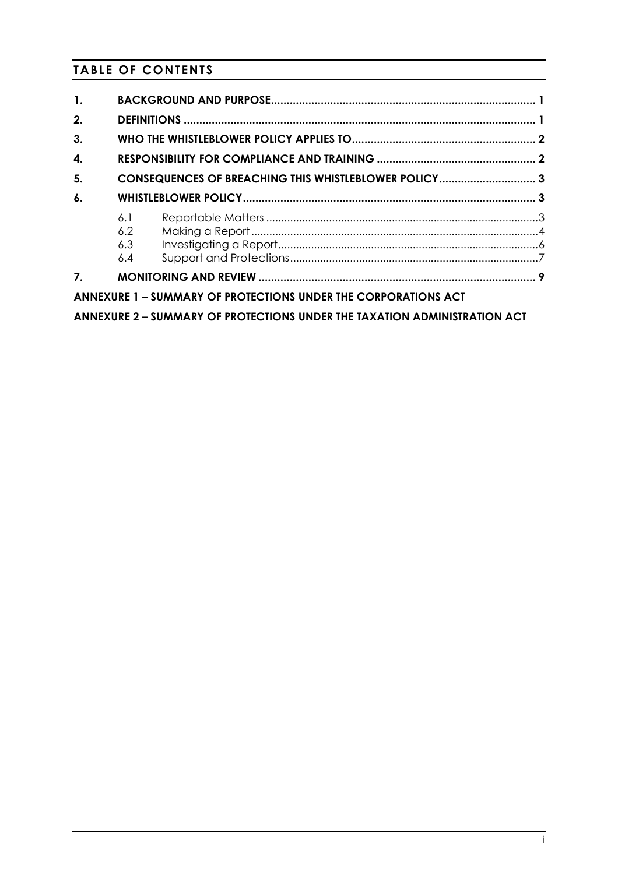# **TABLE OF CONTENTS**

| $\mathbf{1}$ .     |                          |                                                                           |  |
|--------------------|--------------------------|---------------------------------------------------------------------------|--|
| 2.                 |                          |                                                                           |  |
| 3.                 |                          |                                                                           |  |
| 4.                 |                          |                                                                           |  |
| 5.                 |                          | CONSEQUENCES OF BREACHING THIS WHISTLEBLOWER POLICY3                      |  |
| $\boldsymbol{6}$ . |                          |                                                                           |  |
|                    | 6.1<br>6.2<br>6.3<br>6.4 |                                                                           |  |
| $\overline{7}$ .   |                          |                                                                           |  |
|                    |                          | ANNEXURE 1 - SUMMARY OF PROTECTIONS UNDER THE CORPORATIONS ACT            |  |
|                    |                          | ANNEXURE 2 - SUMMARY OF PROTECTIONS UNDER THE TAXATION ADMINISTRATION ACT |  |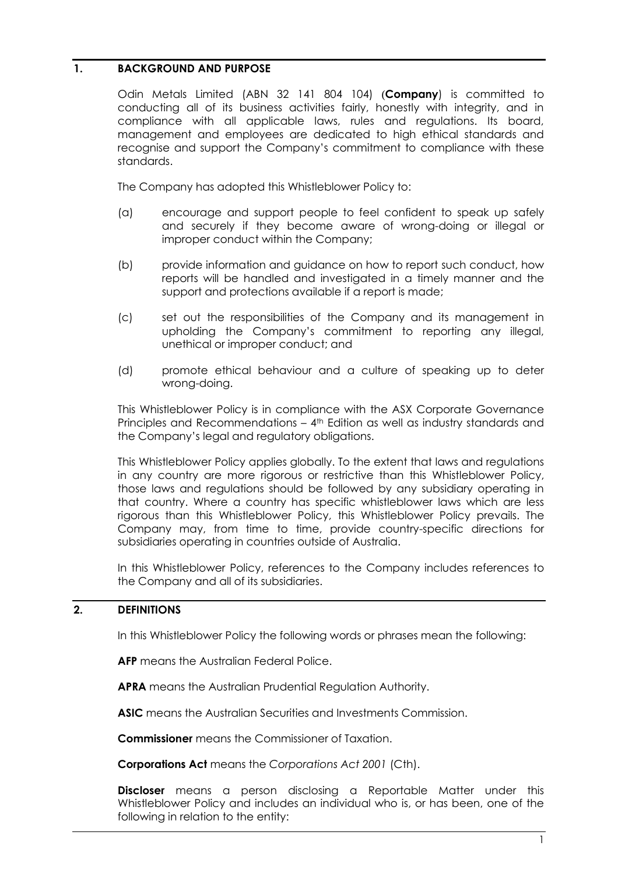# <span id="page-2-0"></span>**1. BACKGROUND AND PURPOSE**

Odin Metals Limited (ABN 32 141 804 104) (**Company**) is committed to conducting all of its business activities fairly, honestly with integrity, and in compliance with all applicable laws, rules and regulations. Its board, management and employees are dedicated to high ethical standards and recognise and support the Company's commitment to compliance with these standards.

The Company has adopted this Whistleblower Policy to:

- (a) encourage and support people to feel confident to speak up safely and securely if they become aware of wrong-doing or illegal or improper conduct within the Company;
- (b) provide information and guidance on how to report such conduct, how reports will be handled and investigated in a timely manner and the support and protections available if a report is made;
- (c) set out the responsibilities of the Company and its management in upholding the Company's commitment to reporting any illegal, unethical or improper conduct; and
- (d) promote ethical behaviour and a culture of speaking up to deter wrong-doing.

This Whistleblower Policy is in compliance with the ASX Corporate Governance Principles and Recommendations – 4th Edition as well as industry standards and the Company's legal and regulatory obligations.

This Whistleblower Policy applies globally. To the extent that laws and regulations in any country are more rigorous or restrictive than this Whistleblower Policy, those laws and regulations should be followed by any subsidiary operating in that country. Where a country has specific whistleblower laws which are less rigorous than this Whistleblower Policy, this Whistleblower Policy prevails. The Company may, from time to time, provide country-specific directions for subsidiaries operating in countries outside of Australia.

In this Whistleblower Policy, references to the Company includes references to the Company and all of its subsidiaries.

# <span id="page-2-1"></span>**2. DEFINITIONS**

In this Whistleblower Policy the following words or phrases mean the following:

**AFP** means the Australian Federal Police.

**APRA** means the Australian Prudential Regulation Authority.

**ASIC** means the Australian Securities and Investments Commission.

**Commissioner** means the Commissioner of Taxation.

**Corporations Act** means the *Corporations Act 2001* (Cth).

**Discloser** means a person disclosing a Reportable Matter under this Whistleblower Policy and includes an individual who is, or has been, one of the following in relation to the entity: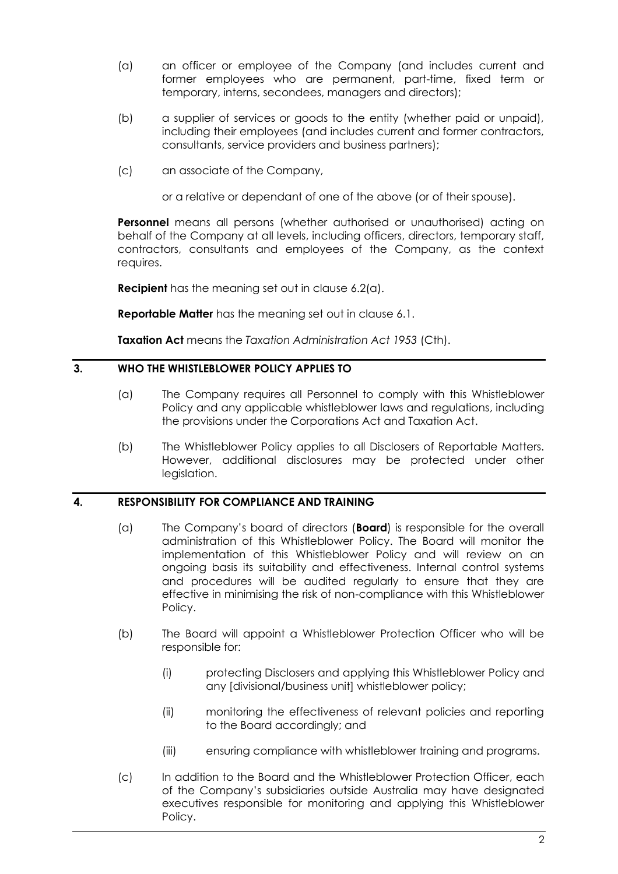- (a) an officer or employee of the Company (and includes current and former employees who are permanent, part-time, fixed term or temporary, interns, secondees, managers and directors);
- (b) a supplier of services or goods to the entity (whether paid or unpaid), including their employees (and includes current and former contractors, consultants, service providers and business partners);
- (c) an associate of the Company,

or a relative or dependant of one of the above (or of their spouse).

**Personnel** means all persons (whether authorised or unauthorised) acting on behalf of the Company at all levels, including officers, directors, temporary staff, contractors, consultants and employees of the Company, as the context requires.

**Recipient** has the meaning set out in clause [6.2\(a\).](#page-5-1)

**Reportable Matter** has the meaning set out in clause [6.1.](#page-4-2)

**Taxation Act** means the *Taxation Administration Act 1953* (Cth).

# <span id="page-3-0"></span>**3. WHO THE WHISTLEBLOWER POLICY APPLIES TO**

- (a) The Company requires all Personnel to comply with this Whistleblower Policy and any applicable whistleblower laws and regulations, including the provisions under the Corporations Act and Taxation Act.
- (b) The Whistleblower Policy applies to all Disclosers of Reportable Matters. However, additional disclosures may be protected under other legislation.

# <span id="page-3-1"></span>**4. RESPONSIBILITY FOR COMPLIANCE AND TRAINING**

- (a) The Company's board of directors (**Board**) is responsible for the overall administration of this Whistleblower Policy. The Board will monitor the implementation of this Whistleblower Policy and will review on an ongoing basis its suitability and effectiveness. Internal control systems and procedures will be audited regularly to ensure that they are effective in minimising the risk of non-compliance with this Whistleblower Policy.
- (b) The Board will appoint a Whistleblower Protection Officer who will be responsible for:
	- (i) protecting Disclosers and applying this Whistleblower Policy and any [divisional/business unit] whistleblower policy;
	- (ii) monitoring the effectiveness of relevant policies and reporting to the Board accordingly; and
	- (iii) ensuring compliance with whistleblower training and programs.
- (c) In addition to the Board and the Whistleblower Protection Officer, each of the Company's subsidiaries outside Australia may have designated executives responsible for monitoring and applying this Whistleblower Policy.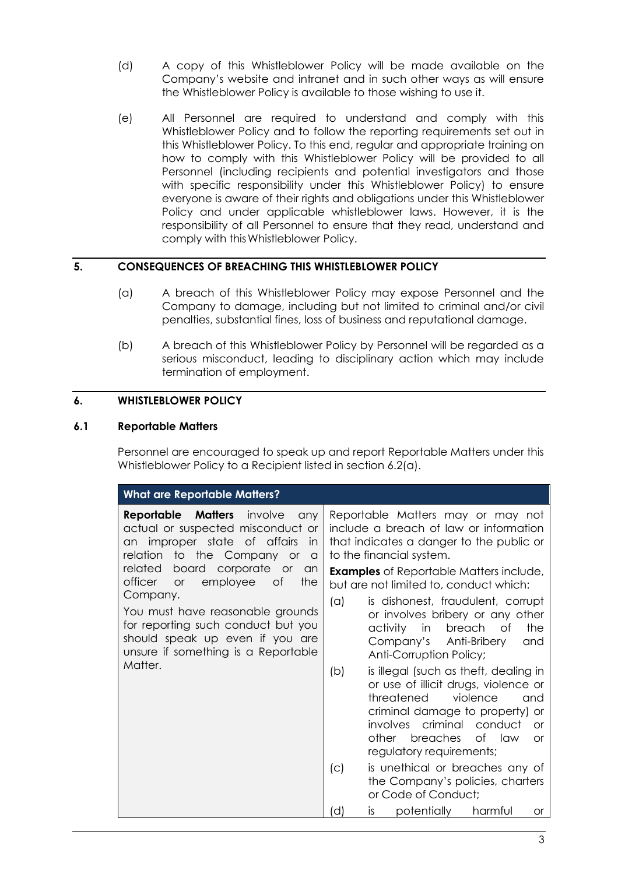- (d) A copy of this Whistleblower Policy will be made available on the Company's website and intranet and in such other ways as will ensure the Whistleblower Policy is available to those wishing to use it.
- (e) All Personnel are required to understand and comply with this Whistleblower Policy and to follow the reporting requirements set out in this Whistleblower Policy. To this end, regular and appropriate training on how to comply with this Whistleblower Policy will be provided to all Personnel (including recipients and potential investigators and those with specific responsibility under this Whistleblower Policy) to ensure everyone is aware of their rights and obligations under this Whistleblower Policy and under applicable whistleblower laws. However, it is the responsibility of all Personnel to ensure that they read, understand and comply with thisWhistleblower Policy.

# <span id="page-4-0"></span>**5. CONSEQUENCES OF BREACHING THIS WHISTLEBLOWER POLICY**

- (a) A breach of this Whistleblower Policy may expose Personnel and the Company to damage, including but not limited to criminal and/or civil penalties, substantial fines, loss of business and reputational damage.
- (b) A breach of this Whistleblower Policy by Personnel will be regarded as a serious misconduct, leading to disciplinary action which may include termination of employment.

# <span id="page-4-1"></span>**6. WHISTLEBLOWER POLICY**

# <span id="page-4-2"></span>**6.1 Reportable Matters**

Personnel are encouraged to speak up and report Reportable Matters under this Whistleblower Policy to a Recipient listed in section [6.2\(a\).](#page-5-1)

| <b>What are Reportable Matters?</b>                                                                                                                         |                                                                                                                                                                                                                                                                        |  |  |  |  |  |  |
|-------------------------------------------------------------------------------------------------------------------------------------------------------------|------------------------------------------------------------------------------------------------------------------------------------------------------------------------------------------------------------------------------------------------------------------------|--|--|--|--|--|--|
| Matters<br>involve<br>Reportable<br>any<br>actual or suspected misconduct or<br>improper state of affairs<br>in<br>an<br>to the Company or<br>relation<br>a | Reportable Matters may or may not<br>include a breach of law or information<br>that indicates a danger to the public or<br>to the financial system.                                                                                                                    |  |  |  |  |  |  |
| board<br>corporate or<br>related<br>an<br>officer<br>employee<br>the<br>0f<br><b>or</b><br>Company.                                                         | <b>Examples</b> of Reportable Matters include,<br>but are not limited to, conduct which:<br>$(\alpha)$<br>is dishonest, fraudulent, corrupt                                                                                                                            |  |  |  |  |  |  |
| You must have reasonable grounds<br>for reporting such conduct but you<br>should speak up even if you are<br>unsure if something is a Reportable            | or involves bribery or any other<br>in<br>breach<br>activity<br>of<br>the<br>Company's Anti-Bribery<br>and<br>Anti-Corruption Policy;                                                                                                                                  |  |  |  |  |  |  |
| Matter.                                                                                                                                                     | (b)<br>is illegal (such as theft, dealing in<br>or use of illicit drugs, violence or<br>threatened<br>violence<br>and<br>criminal damage to property) or<br>involves criminal conduct<br>$\alpha$<br>other breaches<br>of law<br><b>or</b><br>regulatory requirements; |  |  |  |  |  |  |
|                                                                                                                                                             | is unethical or breaches any of<br>(C)<br>the Company's policies, charters<br>or Code of Conduct;                                                                                                                                                                      |  |  |  |  |  |  |
|                                                                                                                                                             | potentially<br>harmful<br>d)<br>is.<br><b>or</b>                                                                                                                                                                                                                       |  |  |  |  |  |  |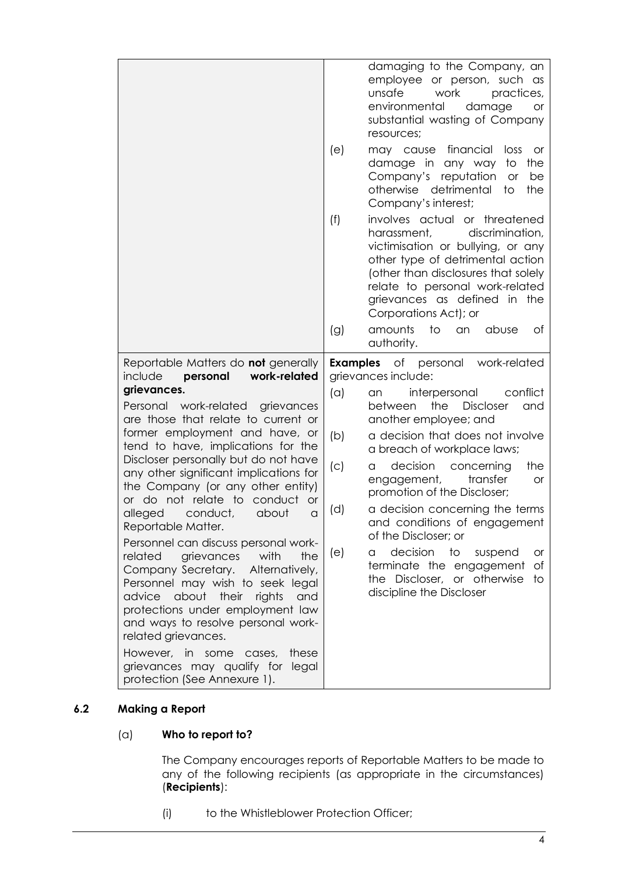|                                                                                                                                                                                                                                                                                                        |                 | damaging to the Company, an                                                                                                                                                                                                                                                 |
|--------------------------------------------------------------------------------------------------------------------------------------------------------------------------------------------------------------------------------------------------------------------------------------------------------|-----------------|-----------------------------------------------------------------------------------------------------------------------------------------------------------------------------------------------------------------------------------------------------------------------------|
|                                                                                                                                                                                                                                                                                                        |                 | employee or person, such as<br>unsafe<br>work<br>practices,<br>environmental<br>damage<br><b>or</b><br>substantial wasting of Company<br>resources;                                                                                                                         |
|                                                                                                                                                                                                                                                                                                        | (e)             | financial<br>loss<br>may cause<br>or<br>the<br>damage in any way<br>to<br>Company's reputation<br><b>or</b><br>be<br>detrimental<br>otherwise<br>to<br>the<br>Company's interest;                                                                                           |
|                                                                                                                                                                                                                                                                                                        | (f)             | involves actual or threatened<br>harassment,<br>discrimination,<br>victimisation or bullying, or any<br>other type of detrimental action<br>(other than disclosures that solely<br>relate to personal work-related<br>grievances as defined in the<br>Corporations Act); or |
|                                                                                                                                                                                                                                                                                                        | (g)             | amounts<br>to<br>abuse<br>Оf<br>an<br>authority.                                                                                                                                                                                                                            |
| Reportable Matters do <b>not</b> generally<br>work-related<br>include<br>personal                                                                                                                                                                                                                      | <b>Examples</b> | of personal<br>work-related<br>grievances include:                                                                                                                                                                                                                          |
| grievances.                                                                                                                                                                                                                                                                                            | (a)             | conflict                                                                                                                                                                                                                                                                    |
| work-related<br>Personal<br>grievances<br>are those that relate to current or                                                                                                                                                                                                                          |                 | interpersonal<br>an<br>between<br>the<br><b>Discloser</b><br>and<br>another employee; and                                                                                                                                                                                   |
| former employment and have, or<br>tend to have, implications for the                                                                                                                                                                                                                                   | (b)             | a decision that does not involve<br>a breach of workplace laws;                                                                                                                                                                                                             |
| Discloser personally but do not have<br>any other significant implications for<br>the Company (or any other entity)                                                                                                                                                                                    | (C)             | the<br>decision<br>concerning<br>a<br>engagement,<br>transfer<br><b>or</b><br>promotion of the Discloser;                                                                                                                                                                   |
| or do not relate to conduct<br><b>or</b><br>conduct,<br>alleged<br>about<br>$\alpha$<br>Reportable Matter.                                                                                                                                                                                             | (d)             | a decision concerning the terms<br>and conditions of engagement<br>of the Discloser; or                                                                                                                                                                                     |
| Personnel can discuss personal work-<br>with<br>the<br>related<br>grievances<br>Company Secretary.<br>Alternatively,<br>Personnel may wish to seek legal<br>their<br>advice<br>about<br>rights<br>and<br>protections under employment law<br>and ways to resolve personal work-<br>related grievances. | (e)             | decision<br>to<br>suspend<br>a<br>or<br>terminate the engagement<br>Оf<br>the Discloser, or otherwise<br>to<br>discipline the Discloser                                                                                                                                     |

# <span id="page-5-1"></span><span id="page-5-0"></span>**6.2 Making a Report**

# (a) **Who to report to?**

The Company encourages reports of Reportable Matters to be made to any of the following recipients (as appropriate in the circumstances) (**Recipients**):

(i) to the Whistleblower Protection Officer;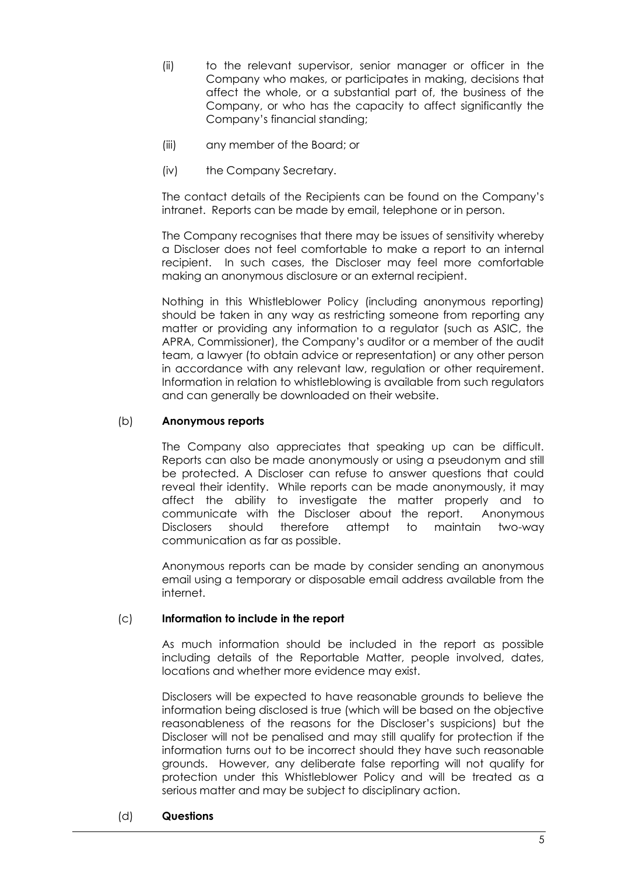- (ii) to the relevant supervisor, senior manager or officer in the Company who makes, or participates in making, decisions that affect the whole, or a substantial part of, the business of the Company, or who has the capacity to affect significantly the Company's financial standing;
- (iii) any member of the Board; or
- (iv) the Company Secretary.

The contact details of the Recipients can be found on the Company's intranet. Reports can be made by email, telephone or in person.

The Company recognises that there may be issues of sensitivity whereby a Discloser does not feel comfortable to make a report to an internal recipient. In such cases, the Discloser may feel more comfortable making an anonymous disclosure or an external recipient.

Nothing in this Whistleblower Policy (including anonymous reporting) should be taken in any way as restricting someone from reporting any matter or providing any information to a regulator (such as ASIC, the APRA, Commissioner), the Company's auditor or a member of the audit team, a lawyer (to obtain advice or representation) or any other person in accordance with any relevant law, regulation or other requirement. Information in relation to whistleblowing is available from such regulators and can generally be downloaded on their website.

# (b) **Anonymous reports**

The Company also appreciates that speaking up can be difficult. Reports can also be made anonymously or using a pseudonym and still be protected. A Discloser can refuse to answer questions that could reveal their identity. While reports can be made anonymously, it may affect the ability to investigate the matter properly and to communicate with the Discloser about the report. Anonymous Disclosers should therefore attempt to maintain two-way communication as far as possible.

Anonymous reports can be made by consider sending an anonymous email using a temporary or disposable email address available from the internet.

# (c) **Information to include in the report**

As much information should be included in the report as possible including details of the Reportable Matter, people involved, dates, locations and whether more evidence may exist.

Disclosers will be expected to have reasonable grounds to believe the information being disclosed is true (which will be based on the objective reasonableness of the reasons for the Discloser's suspicions) but the Discloser will not be penalised and may still qualify for protection if the information turns out to be incorrect should they have such reasonable grounds. However, any deliberate false reporting will not qualify for protection under this Whistleblower Policy and will be treated as a serious matter and may be subject to disciplinary action.

# (d) **Questions**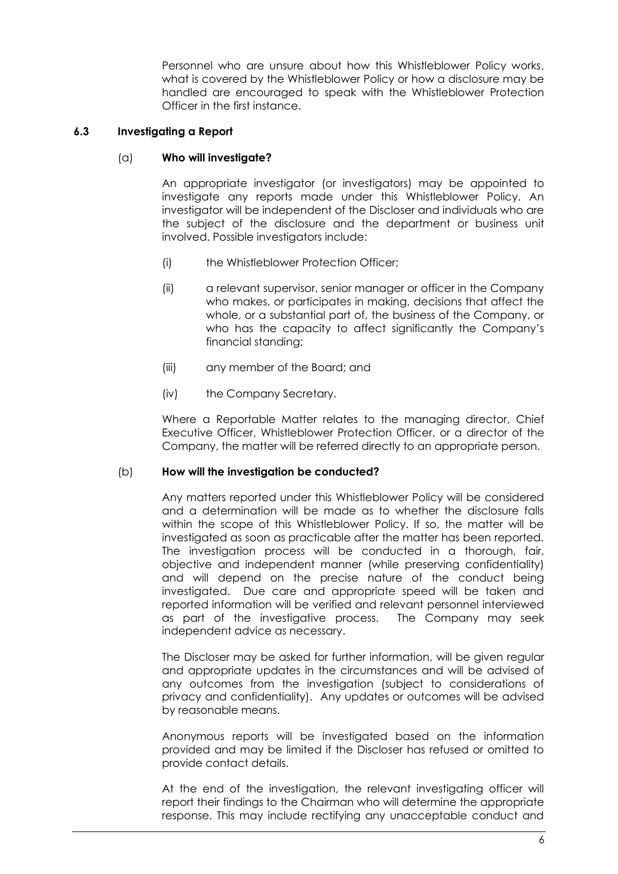Personnel who are unsure about how this Whistleblower Policy works, what is covered by the Whistleblower Policy or how a disclosure may be handled are encouraged to speak with the Whistleblower Protection Officer in the first instance.

# <span id="page-7-0"></span>**6.3 Investigating a Report**

# (a) **Who will investigate?**

An appropriate investigator (or investigators) may be appointed to investigate any reports made under this Whistleblower Policy. An investigator will be independent of the Discloser and individuals who are the subject of the disclosure and the department or business unit involved. Possible investigators include:

- (i) the Whistleblower Protection Officer;
- (ii) a relevant supervisor, senior manager or officer in the Company who makes, or participates in making, decisions that affect the whole, or a substantial part of, the business of the Company, or who has the capacity to affect significantly the Company's financial standing;
- (iii) any member of the Board; and
- (iv) the Company Secretary.

Where a Reportable Matter relates to the managing director, Chief Executive Officer, Whistleblower Protection Officer, or a director of the Company, the matter will be referred directly to an appropriate person.

# (b) **How will the investigation be conducted?**

Any matters reported under this Whistleblower Policy will be considered and a determination will be made as to whether the disclosure falls within the scope of this Whistleblower Policy. If so, the matter will be investigated as soon as practicable after the matter has been reported. The investigation process will be conducted in a thorough, fair, objective and independent manner (while preserving confidentiality) and will depend on the precise nature of the conduct being investigated. Due care and appropriate speed will be taken and reported information will be verified and relevant personnel interviewed as part of the investigative process. The Company may seek independent advice as necessary.

The Discloser may be asked for further information, will be given regular and appropriate updates in the circumstances and will be advised of any outcomes from the investigation (subject to considerations of privacy and confidentiality). Any updates or outcomes will be advised by reasonable means.

Anonymous reports will be investigated based on the information provided and may be limited if the Discloser has refused or omitted to provide contact details.

At the end of the investigation, the relevant investigating officer will report their findings to the Chairman who will determine the appropriate response. This may include rectifying any unacceptable conduct and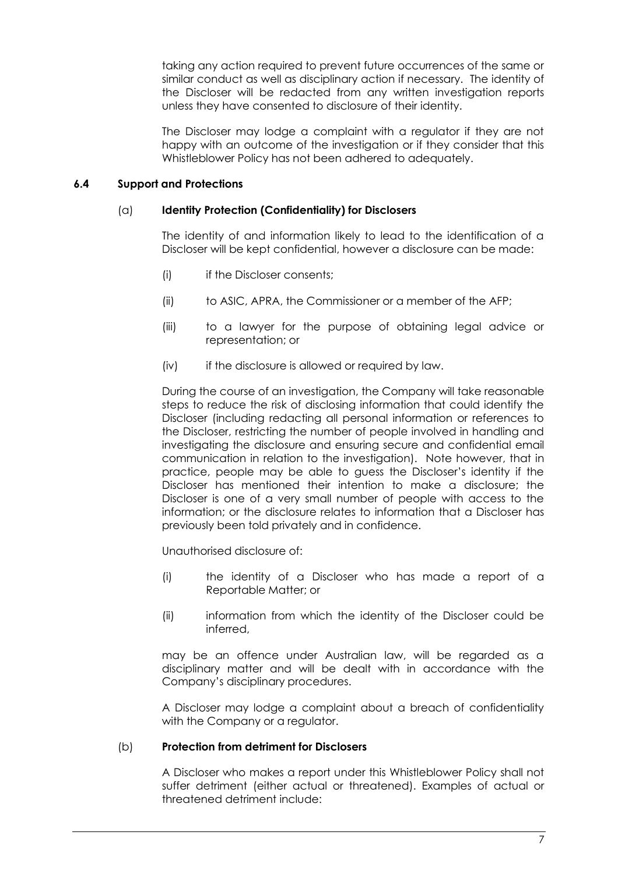taking any action required to prevent future occurrences of the same or similar conduct as well as disciplinary action if necessary. The identity of the Discloser will be redacted from any written investigation reports unless they have consented to disclosure of their identity.

The Discloser may lodge a complaint with a regulator if they are not happy with an outcome of the investigation or if they consider that this Whistleblower Policy has not been adhered to adequately.

# <span id="page-8-0"></span>**6.4 Support and Protections**

# (a) **Identity Protection (Confidentiality) for Disclosers**

The identity of and information likely to lead to the identification of a Discloser will be kept confidential, however a disclosure can be made:

- (i) if the Discloser consents;
- (ii) to ASIC, APRA, the Commissioner or a member of the AFP;
- (iii) to a lawyer for the purpose of obtaining legal advice or representation; or
- (iv) if the disclosure is allowed or required by law.

During the course of an investigation, the Company will take reasonable steps to reduce the risk of disclosing information that could identify the Discloser (including redacting all personal information or references to the Discloser, restricting the number of people involved in handling and investigating the disclosure and ensuring secure and confidential email communication in relation to the investigation). Note however, that in practice, people may be able to guess the Discloser's identity if the Discloser has mentioned their intention to make a disclosure; the Discloser is one of a very small number of people with access to the information; or the disclosure relates to information that a Discloser has previously been told privately and in confidence.

Unauthorised disclosure of:

- (i) the identity of a Discloser who has made a report of a Reportable Matter; or
- (ii) information from which the identity of the Discloser could be inferred,

may be an offence under Australian law, will be regarded as a disciplinary matter and will be dealt with in accordance with the Company's disciplinary procedures.

A Discloser may lodge a complaint about a breach of confidentiality with the Company or a regulator.

# (b) **Protection from detriment for Disclosers**

A Discloser who makes a report under this Whistleblower Policy shall not suffer detriment (either actual or threatened). Examples of actual or threatened detriment include: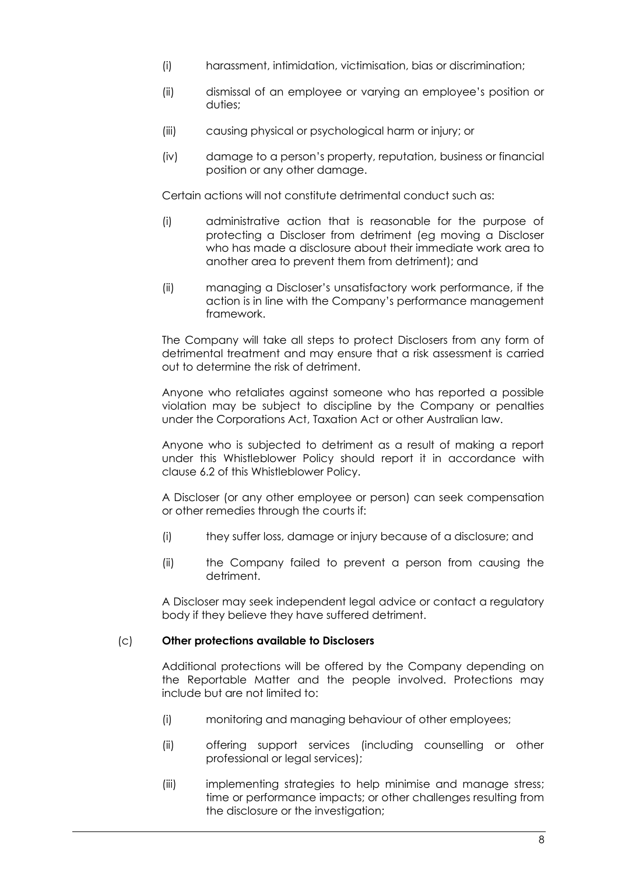- (i) harassment, intimidation, victimisation, bias or discrimination;
- (ii) dismissal of an employee or varying an employee's position or duties;
- (iii) causing physical or psychological harm or injury; or
- (iv) damage to a person's property, reputation, business or financial position or any other damage.

Certain actions will not constitute detrimental conduct such as:

- (i) administrative action that is reasonable for the purpose of protecting a Discloser from detriment (eg moving a Discloser who has made a disclosure about their immediate work area to another area to prevent them from detriment); and
- (ii) managing a Discloser's unsatisfactory work performance, if the action is in line with the Company's performance management framework.

The Company will take all steps to protect Disclosers from any form of detrimental treatment and may ensure that a risk assessment is carried out to determine the risk of detriment.

Anyone who retaliates against someone who has reported a possible violation may be subject to discipline by the Company or penalties under the Corporations Act, Taxation Act or other Australian law.

Anyone who is subjected to detriment as a result of making a report under this Whistleblower Policy should report it in accordance with clause [6.2](#page-5-0) of this Whistleblower Policy.

A Discloser (or any other employee or person) can seek compensation or other remedies through the courts if:

- (i) they suffer loss, damage or injury because of a disclosure; and
- (ii) the Company failed to prevent a person from causing the detriment.

A Discloser may seek independent legal advice or contact a regulatory body if they believe they have suffered detriment.

# (c) **Other protections available to Disclosers**

Additional protections will be offered by the Company depending on the Reportable Matter and the people involved. Protections may include but are not limited to:

- (i) monitoring and managing behaviour of other employees;
- (ii) offering support services (including counselling or other professional or legal services);
- (iii) implementing strategies to help minimise and manage stress; time or performance impacts; or other challenges resulting from the disclosure or the investigation;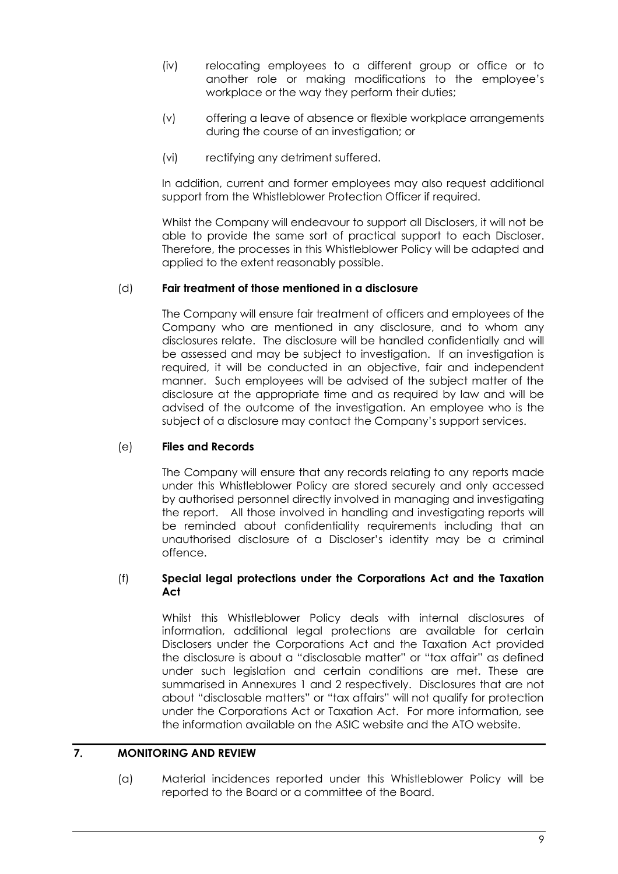- (iv) relocating employees to a different group or office or to another role or making modifications to the employee's workplace or the way they perform their duties;
- (v) offering a leave of absence or flexible workplace arrangements during the course of an investigation; or
- (vi) rectifying any detriment suffered.

In addition, current and former employees may also request additional support from the Whistleblower Protection Officer if required.

Whilst the Company will endeavour to support all Disclosers, it will not be able to provide the same sort of practical support to each Discloser. Therefore, the processes in this Whistleblower Policy will be adapted and applied to the extent reasonably possible.

# (d) **Fair treatment of those mentioned in a disclosure**

The Company will ensure fair treatment of officers and employees of the Company who are mentioned in any disclosure, and to whom any disclosures relate. The disclosure will be handled confidentially and will be assessed and may be subject to investigation. If an investigation is required, it will be conducted in an objective, fair and independent manner. Such employees will be advised of the subject matter of the disclosure at the appropriate time and as required by law and will be advised of the outcome of the investigation. An employee who is the subject of a disclosure may contact the Company's support services.

# (e) **Files and Records**

The Company will ensure that any records relating to any reports made under this Whistleblower Policy are stored securely and only accessed by authorised personnel directly involved in managing and investigating the report. All those involved in handling and investigating reports will be reminded about confidentiality requirements including that an unauthorised disclosure of a Discloser's identity may be a criminal offence.

# (f) **Special legal protections under the Corporations Act and the Taxation Act**

Whilst this Whistleblower Policy deals with internal disclosures of information, additional legal protections are available for certain Disclosers under the Corporations Act and the Taxation Act provided the disclosure is about a "disclosable matter" or "tax affair" as defined under such legislation and certain conditions are met. These are summarised in Annexures 1 and 2 respectively. Disclosures that are not about "disclosable matters" or "tax affairs" will not qualify for protection under the Corporations Act or Taxation Act. For more information, see the information available on the ASIC website and the ATO website.

# <span id="page-10-0"></span>**7. MONITORING AND REVIEW**

(a) Material incidences reported under this Whistleblower Policy will be reported to the Board or a committee of the Board.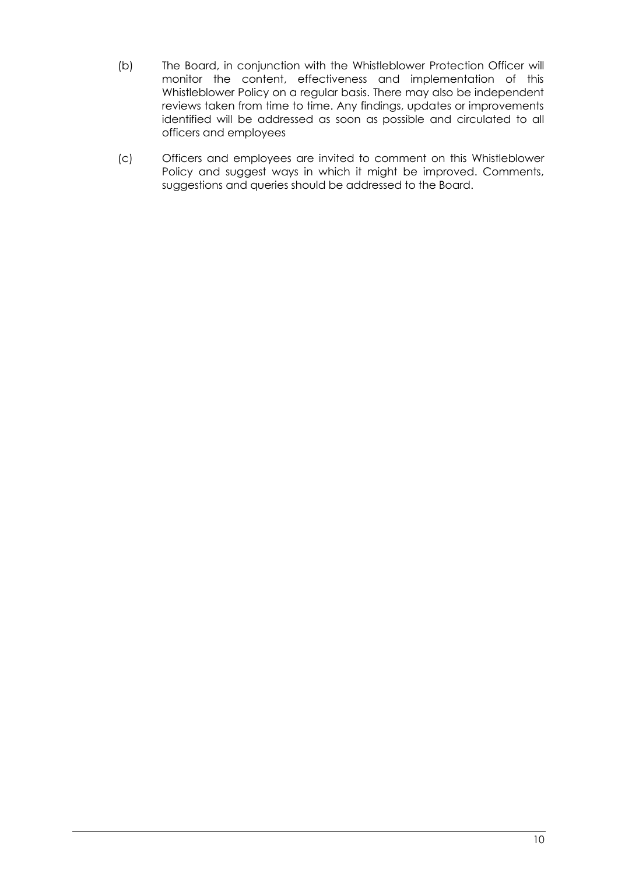- (b) The Board, in conjunction with the Whistleblower Protection Officer will monitor the content, effectiveness and implementation of this Whistleblower Policy on a regular basis. There may also be independent reviews taken from time to time. Any findings, updates or improvements identified will be addressed as soon as possible and circulated to all officers and employees
- (c) Officers and employees are invited to comment on this Whistleblower Policy and suggest ways in which it might be improved. Comments, suggestions and queries should be addressed to the Board.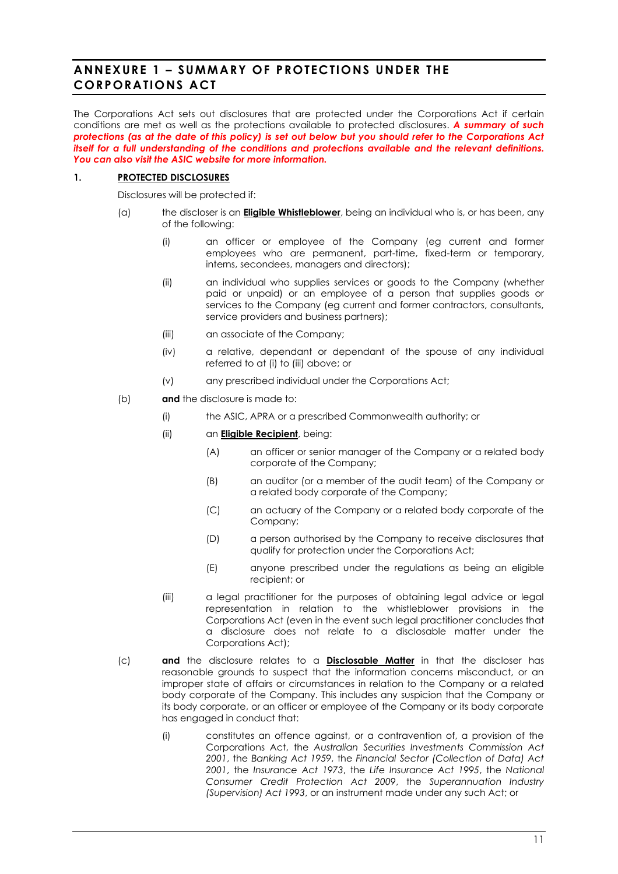# <span id="page-12-0"></span>**ANNEXURE 1 – SUMMARY OF PROTECTIONS UNDER THE CORPORATIONS ACT**

The Corporations Act sets out disclosures that are protected under the Corporations Act if certain conditions are met as well as the protections available to protected disclosures. *A summary of such protections (as at the date of this policy) is set out below but you should refer to the Corporations Act itself for a full understanding of the conditions and protections available and the relevant definitions. You can also visit the ASIC website for more information.*

### **1. PROTECTED DISCLOSURES**

Disclosures will be protected if:

- <span id="page-12-1"></span>(a) the discloser is an **Eligible Whistleblower**, being an individual who is, or has been, any of the following:
	- (i) an officer or employee of the Company (eg current and former employees who are permanent, part-time, fixed-term or temporary, interns, secondees, managers and directors);
	- (ii) an individual who supplies services or goods to the Company (whether paid or unpaid) or an employee of a person that supplies goods or services to the Company (eg current and former contractors, consultants, service providers and business partners);
	- (iii) an associate of the Company;
	- (iv) a relative, dependant or dependant of the spouse of any individual referred to a[t \(i\)](#page-12-1) to [\(iii\)](#page-12-2) above; or
	- (v) any prescribed individual under the Corporations Act;
- <span id="page-12-2"></span>(b) **and** the disclosure is made to:
	- (i) the ASIC, APRA or a prescribed Commonwealth authority; or
	- (ii) an **Eligible Recipient**, being:
		- (A) an officer or senior manager of the Company or a related body corporate of the Company;
		- (B) an auditor (or a member of the audit team) of the Company or a related body corporate of the Company;
		- (C) an actuary of the Company or a related body corporate of the Company;
		- (D) a person authorised by the Company to receive disclosures that qualify for protection under the Corporations Act;
		- (E) anyone prescribed under the regulations as being an eligible recipient; or
	- (iii) a legal practitioner for the purposes of obtaining legal advice or legal representation in relation to the whistleblower provisions in the Corporations Act (even in the event such legal practitioner concludes that a disclosure does not relate to a disclosable matter under the Corporations Act);
- (c) **and** the disclosure relates to a **Disclosable Matter** in that the discloser has reasonable grounds to suspect that the information concerns misconduct, or an improper state of affairs or circumstances in relation to the Company or a related body corporate of the Company. This includes any suspicion that the Company or its body corporate, or an officer or employee of the Company or its body corporate has engaged in conduct that:
	- (i) constitutes an offence against, or a contravention of, a provision of the Corporations Act, the *Australian Securities Investments Commission Act 2001*, the *Banking Act 1959*, the *Financial Sector (Collection of Data) Act 2001*, the *Insurance Act 1973*, the *Life Insurance Act 1995*, the *National Consumer Credit Protection Act 2009*, the *Superannuation Industry (Supervision) Act 1993*, or an instrument made under any such Act; or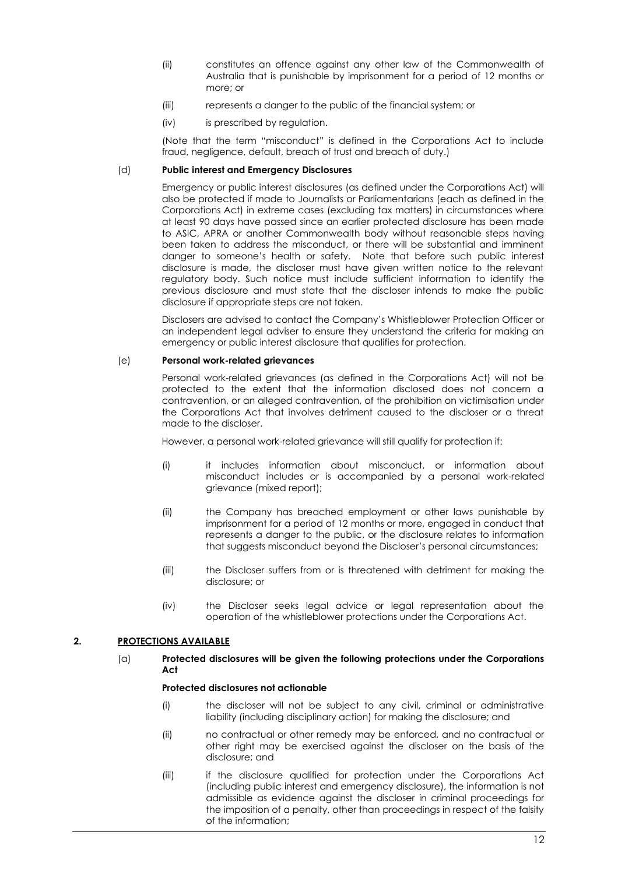- (ii) constitutes an offence against any other law of the Commonwealth of Australia that is punishable by imprisonment for a period of 12 months or more; or
- (iii) represents a danger to the public of the financial system; or
- (iv) is prescribed by regulation.

(Note that the term "misconduct" is defined in the Corporations Act to include fraud, negligence, default, breach of trust and breach of duty.)

### (d) **Public interest and Emergency Disclosures**

Emergency or public interest disclosures (as defined under the Corporations Act) will also be protected if made to Journalists or Parliamentarians (each as defined in the Corporations Act) in extreme cases (excluding tax matters) in circumstances where at least 90 days have passed since an earlier protected disclosure has been made to ASIC, APRA or another Commonwealth body without reasonable steps having been taken to address the misconduct, or there will be substantial and imminent danger to someone's health or safety. Note that before such public interest disclosure is made, the discloser must have given written notice to the relevant regulatory body. Such notice must include sufficient information to identify the previous disclosure and must state that the discloser intends to make the public disclosure if appropriate steps are not taken.

Disclosers are advised to contact the Company's Whistleblower Protection Officer or an independent legal adviser to ensure they understand the criteria for making an emergency or public interest disclosure that qualifies for protection.

#### (e) **Personal work-related grievances**

Personal work-related grievances (as defined in the Corporations Act) will not be protected to the extent that the information disclosed does not concern a contravention, or an alleged contravention, of the prohibition on victimisation under the Corporations Act that involves detriment caused to the discloser or a threat made to the discloser.

However, a personal work-related grievance will still qualify for protection if:

- (i) it includes information about misconduct, or information about misconduct includes or is accompanied by a personal work-related grievance (mixed report);
- (ii) the Company has breached employment or other laws punishable by imprisonment for a period of 12 months or more, engaged in conduct that represents a danger to the public, or the disclosure relates to information that suggests misconduct beyond the Discloser's personal circumstances;
- (iii) the Discloser suffers from or is threatened with detriment for making the disclosure; or
- (iv) the Discloser seeks legal advice or legal representation about the operation of the whistleblower protections under the Corporations Act.

### **2. PROTECTIONS AVAILABLE**

### (a) **Protected disclosures will be given the following protections under the Corporations Act**

#### **Protected disclosures not actionable**

- (i) the discloser will not be subject to any civil, criminal or administrative liability (including disciplinary action) for making the disclosure; and
- (ii) no contractual or other remedy may be enforced, and no contractual or other right may be exercised against the discloser on the basis of the disclosure; and
- (iii) if the disclosure qualified for protection under the Corporations Act (including public interest and emergency disclosure), the information is not admissible as evidence against the discloser in criminal proceedings for the imposition of a penalty, other than proceedings in respect of the falsity of the information;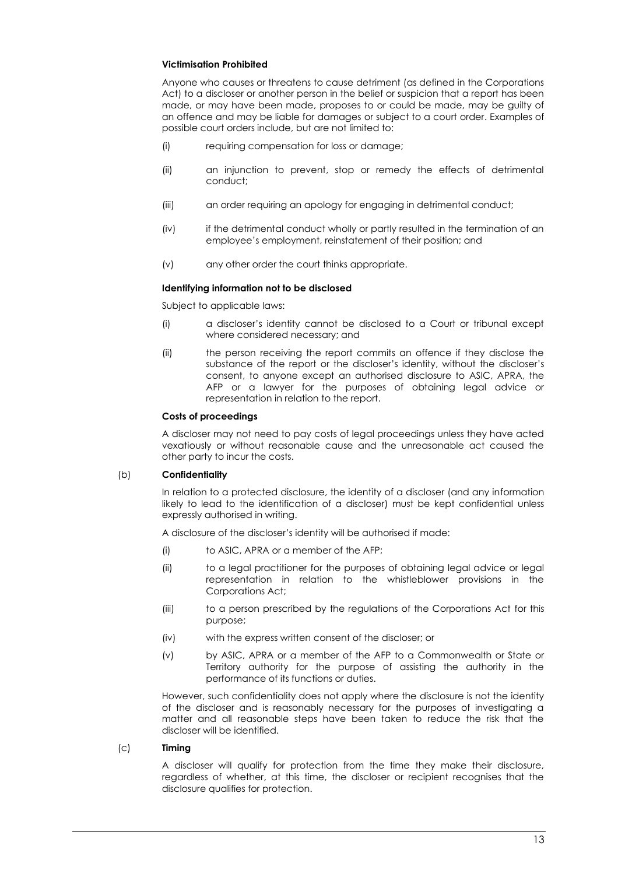### **Victimisation Prohibited**

Anyone who causes or threatens to cause detriment (as defined in the Corporations Act) to a discloser or another person in the belief or suspicion that a report has been made, or may have been made, proposes to or could be made, may be guilty of an offence and may be liable for damages or subject to a court order. Examples of possible court orders include, but are not limited to:

- (i) requiring compensation for loss or damage;
- (ii) an injunction to prevent, stop or remedy the effects of detrimental conduct;
- (iii) an order requiring an apology for engaging in detrimental conduct;
- (iv) if the detrimental conduct wholly or partly resulted in the termination of an employee's employment, reinstatement of their position; and
- (v) any other order the court thinks appropriate.

### **Identifying information not to be disclosed**

Subject to applicable laws:

- (i) a discloser's identity cannot be disclosed to a Court or tribunal except where considered necessary; and
- (ii) the person receiving the report commits an offence if they disclose the substance of the report or the discloser's identity, without the discloser's consent, to anyone except an authorised disclosure to ASIC, APRA, the AFP or a lawyer for the purposes of obtaining legal advice or representation in relation to the report.

### **Costs of proceedings**

A discloser may not need to pay costs of legal proceedings unless they have acted vexatiously or without reasonable cause and the unreasonable act caused the other party to incur the costs.

### (b) **Confidentiality**

In relation to a protected disclosure, the identity of a discloser (and any information likely to lead to the identification of a discloser) must be kept confidential unless expressly authorised in writing.

A disclosure of the discloser's identity will be authorised if made:

- (i) to ASIC, APRA or a member of the AFP;
- (ii) to a legal practitioner for the purposes of obtaining legal advice or legal representation in relation to the whistleblower provisions in the Corporations Act;
- (iii) to a person prescribed by the regulations of the Corporations Act for this purpose;
- (iv) with the express written consent of the discloser; or
- (v) by ASIC, APRA or a member of the AFP to a Commonwealth or State or Territory authority for the purpose of assisting the authority in the performance of its functions or duties.

However, such confidentiality does not apply where the disclosure is not the identity of the discloser and is reasonably necessary for the purposes of investigating a matter and all reasonable steps have been taken to reduce the risk that the discloser will be identified.

### (c) **Timing**

A discloser will qualify for protection from the time they make their disclosure, regardless of whether, at this time, the discloser or recipient recognises that the disclosure qualifies for protection.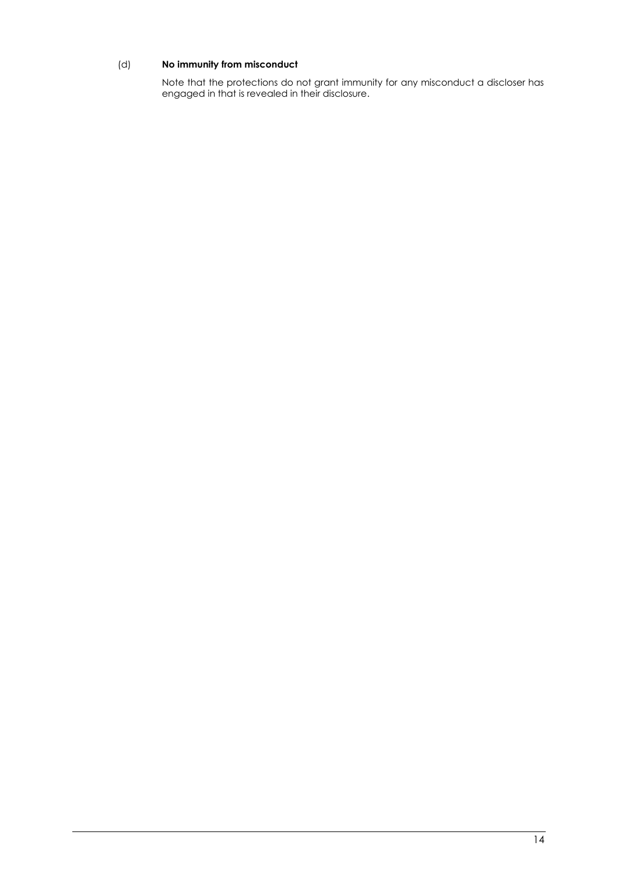# (d) **No immunity from misconduct**

Note that the protections do not grant immunity for any misconduct a discloser has engaged in that is revealed in their disclosure.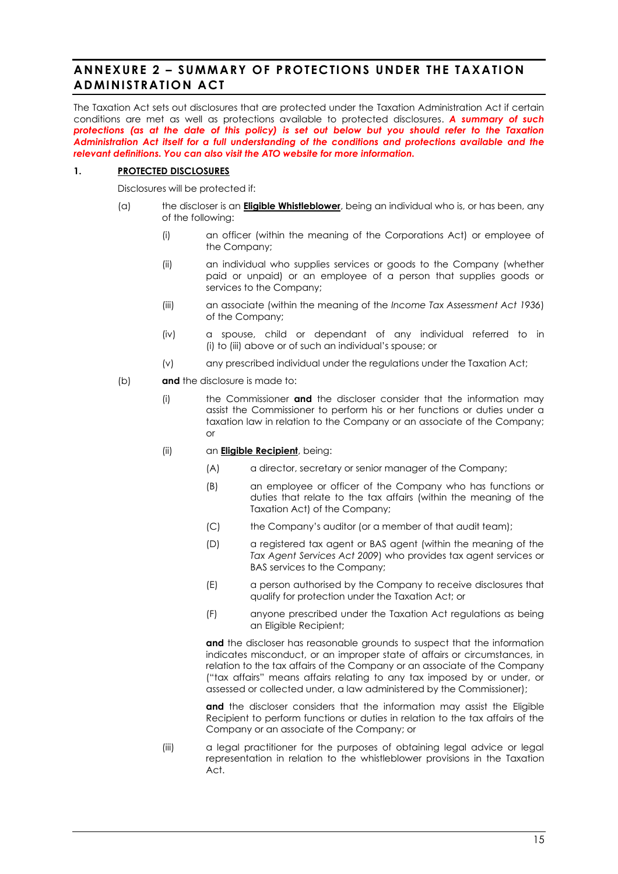# <span id="page-16-0"></span>**ANNEXURE 2 – SUMMARY OF PROTECTIONS UNDER THE TAXATION ADMINISTRATION ACT**

The Taxation Act sets out disclosures that are protected under the Taxation Administration Act if certain conditions are met as well as protections available to protected disclosures. *A summary of such protections (as at the date of this policy) is set out below but you should refer to the Taxation Administration Act itself for a full understanding of the conditions and protections available and the relevant definitions. You can also visit the ATO website for more information.*

### **1. PROTECTED DISCLOSURES**

Disclosures will be protected if:

- <span id="page-16-1"></span>(a) the discloser is an **Eligible Whistleblower**, being an individual who is, or has been, any of the following:
	- (i) an officer (within the meaning of the Corporations Act) or employee of the Company;
	- (ii) an individual who supplies services or goods to the Company (whether paid or unpaid) or an employee of a person that supplies goods or services to the Company;
	- (iii) an associate (within the meaning of the *Income Tax Assessment Act 1936*) of the Company;
	- (iv) a spouse, child or dependant of any individual referred to in [\(i\)](#page-16-1) to [\(iii\)](#page-16-2) above or of such an individual's spouse; or
	- (v) any prescribed individual under the regulations under the Taxation Act;
- <span id="page-16-2"></span>(b) **and** the disclosure is made to:
	- (i) the Commissioner **and** the discloser consider that the information may assist the Commissioner to perform his or her functions or duties under a taxation law in relation to the Company or an associate of the Company; or
	- (ii) an **Eligible Recipient**, being:
		- (A) a director, secretary or senior manager of the Company;
		- (B) an employee or officer of the Company who has functions or duties that relate to the tax affairs (within the meaning of the Taxation Act) of the Company;
		- (C) the Company's auditor (or a member of that audit team);
		- (D) a registered tax agent or BAS agent (within the meaning of the *Tax Agent Services Act 2009*) who provides tax agent services or BAS services to the Company;
		- (E) a person authorised by the Company to receive disclosures that qualify for protection under the Taxation Act; or
		- (F) anyone prescribed under the Taxation Act regulations as being an Eligible Recipient;

**and** the discloser has reasonable grounds to suspect that the information indicates misconduct, or an improper state of affairs or circumstances, in relation to the tax affairs of the Company or an associate of the Company ("tax affairs" means affairs relating to any tax imposed by or under, or assessed or collected under, a law administered by the Commissioner);

and the discloser considers that the information may assist the Eligible Recipient to perform functions or duties in relation to the tax affairs of the Company or an associate of the Company; or

(iii) a legal practitioner for the purposes of obtaining legal advice or legal representation in relation to the whistleblower provisions in the Taxation Act.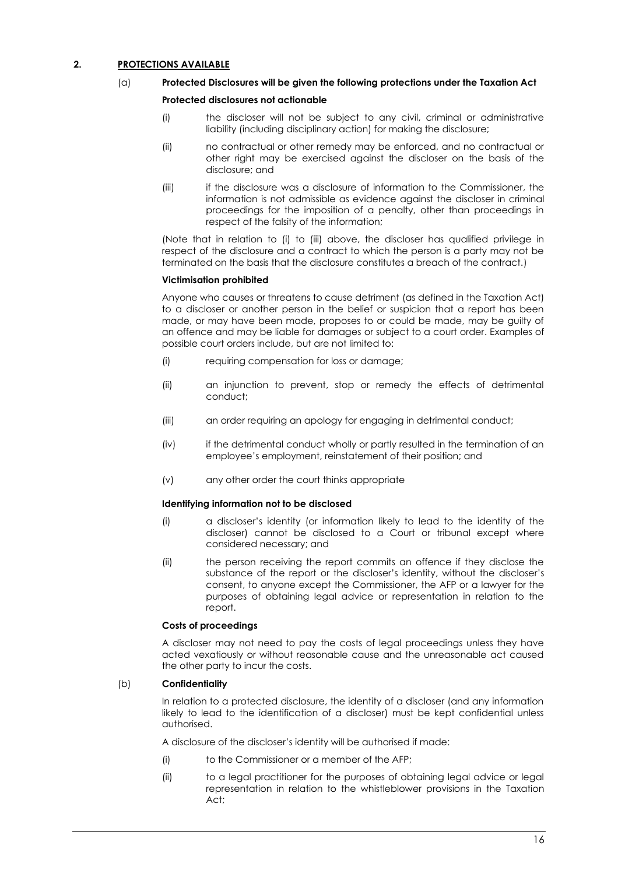### <span id="page-17-0"></span>**2. PROTECTIONS AVAILABLE**

### (a) **Protected Disclosures will be given the following protections under the Taxation Act**

### **Protected disclosures not actionable**

- (i) the discloser will not be subject to any civil, criminal or administrative liability (including disciplinary action) for making the disclosure;
- (ii) no contractual or other remedy may be enforced, and no contractual or other right may be exercised against the discloser on the basis of the disclosure; and
- <span id="page-17-1"></span>(iii) if the disclosure was a disclosure of information to the Commissioner, the information is not admissible as evidence against the discloser in criminal proceedings for the imposition of a penalty, other than proceedings in respect of the falsity of the information;

(Note that in relation to [\(i\)](#page-17-0) to [\(iii\)](#page-17-1) above, the discloser has qualified privilege in respect of the disclosure and a contract to which the person is a party may not be terminated on the basis that the disclosure constitutes a breach of the contract.)

### **Victimisation prohibited**

Anyone who causes or threatens to cause detriment (as defined in the Taxation Act) to a discloser or another person in the belief or suspicion that a report has been made, or may have been made, proposes to or could be made, may be guilty of an offence and may be liable for damages or subject to a court order. Examples of possible court orders include, but are not limited to:

- (i) requiring compensation for loss or damage;
- (ii) an injunction to prevent, stop or remedy the effects of detrimental conduct;
- (iii) an order requiring an apology for engaging in detrimental conduct;
- (iv) if the detrimental conduct wholly or partly resulted in the termination of an employee's employment, reinstatement of their position; and
- (v) any other order the court thinks appropriate

### **Identifying information not to be disclosed**

- (i) a discloser's identity (or information likely to lead to the identity of the discloser) cannot be disclosed to a Court or tribunal except where considered necessary; and
- (ii) the person receiving the report commits an offence if they disclose the substance of the report or the discloser's identity, without the discloser's consent, to anyone except the Commissioner, the AFP or a lawyer for the purposes of obtaining legal advice or representation in relation to the report.

### **Costs of proceedings**

A discloser may not need to pay the costs of legal proceedings unless they have acted vexatiously or without reasonable cause and the unreasonable act caused the other party to incur the costs.

### (b) **Confidentiality**

In relation to a protected disclosure, the identity of a discloser (and any information likely to lead to the identification of a discloser) must be kept confidential unless authorised.

A disclosure of the discloser's identity will be authorised if made:

- (i) to the Commissioner or a member of the AFP;
- (ii) to a legal practitioner for the purposes of obtaining legal advice or legal representation in relation to the whistleblower provisions in the Taxation Act;